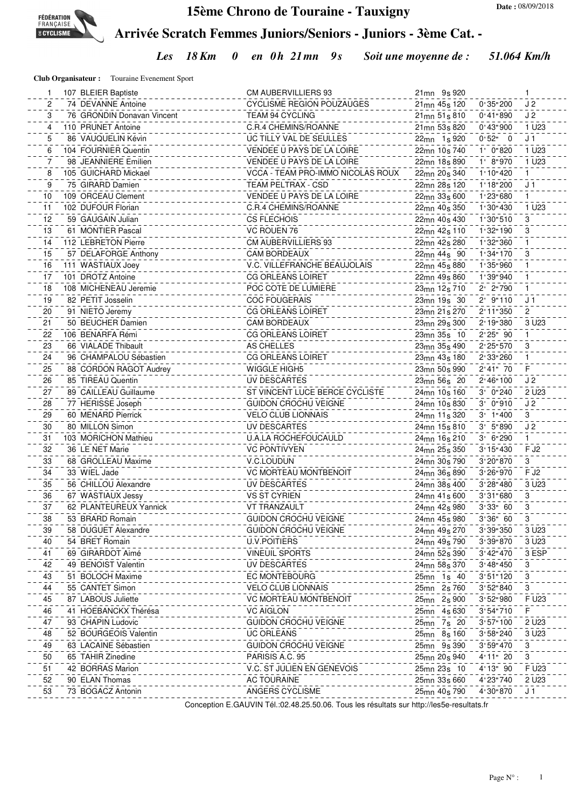

## **15ème Chrono de Touraine - Tauxigny**

**Arrivée Scratch Femmes Juniors/Seniors - Juniors - 3ème Cat. -**

*Les 18 Km 0 en 0h 21mn 9s Soit une moyenne de : 51.064 Km/h*

**Club Organisateur :** Touraine Evenement Sport

|    | 107 BLEIER Baptiste        | CM AUBERVILLIERS 93               | 21 <sub>mn</sub> 9 <sub>s</sub> 920                  | 1.                        |
|----|----------------------------|-----------------------------------|------------------------------------------------------|---------------------------|
| 2  | 74 DEVANNE Antoine         | <b>CYCLISME REGION POUZAUGES</b>  | $0.35$ " 200<br>21 <sub>mn</sub> 45 <sub>s</sub> 120 | J <sub>2</sub>            |
| 3  | 76 GRONDIN Donavan Vincent | TEAM 94 CYCLING                   | 0:41"890<br>21 <sub>mn</sub> 51 <sub>s</sub> 810     | J <sub>2</sub>            |
| 4  | 110 PRUNET Antoine         | C.R.4 CHEMINS/ROANNE              | $0'$ 43" 900<br>21 <sub>mn</sub> 53 <sub>s</sub> 820 | 1 U <sub>23</sub>         |
| 5  | 86 VAUQUELIN Kévin         | UC TILLY VAL DE SEULLES           | $0.52$ " 0<br>22 <sub>mn</sub> 1 <sub>s</sub> 920    | J <sub>1</sub>            |
| 6  | 104 FOURNIER Quentin       | VENDEE U PAYS DE LA LOIRE         | $1'$ 0"820<br>22 <sub>mn</sub> 10 <sub>s</sub> 740   | 1 U <sub>23</sub>         |
| 7  | 98 JEANNIERE Emilien       | VENDEE U PAYS DE LA LOIRE         | 1' 8''970<br>22 <sub>mn</sub> 18 <sub>s</sub> 890    | 1 U <sub>23</sub>         |
| 8  | 105 GUICHARD Mickael       | VCCA - TEAM PRO-IMMO NICOLAS ROUX | 1:10:420<br>22 <sub>mn</sub> 20 <sub>s</sub> 340     | $\mathbf{1}$              |
| 9  | 75 GIRARD Damien           | TEAM PELTRAX - CSD                | 1:18:200<br>22 <sub>mn</sub> 28 <sub>s</sub> 120     | J <sub>1</sub>            |
| 10 | 109 ORCEAU Clement         | VENDEE U PAYS DE LA LOIRE         | 1'23"680<br>22 <sub>mn</sub> 33 <sub>s</sub> 600     | $\mathbf{1}$              |
| 11 | 102 DUFOUR Florian         | C.R.4 CHEMINS/ROANNE              | 1:30:430<br>22 <sub>mn</sub> 40 <sub>s</sub> 350     | 1 U23                     |
| 12 | 59 GAUGAIN Julian          | <b>CS FLECHOIS</b>                | 1:30:510<br>22 <sub>mn</sub> 40 <sub>s</sub> 430     | 3                         |
| 13 | 61 MONTIER Pascal          | VC ROUEN 76                       | 1'32"190<br>22 <sub>mn</sub> 42 <sub>s</sub> 110     | 3                         |
| 14 | 112 LEBRETON Pierre        | <b>CM AUBERVILLIERS 93</b>        | 1'32"360<br>22 <sub>mn</sub> 42 <sub>s</sub> 280     |                           |
| 15 | 57 DELAFORGE Anthony       | <b>CAM BORDEAUX</b>               | 1:34:170<br>22 <sub>mn</sub> 44 <sub>s</sub> 90      | 3                         |
| 16 | 111 WASTIAUX Joey          | V.C. VILLEFRANCHE BEAUJOLAIS      | 1'35"960<br>22mn 45s 880                             |                           |
| 17 | 101 DROTZ Antoine          | <b>CG ORLEANS LOIRET</b>          | 1'39"940<br>22mn 49s 860                             |                           |
| 18 | 108 MICHENEAU Jeremie      | POC COTE DE LUMIERE               | 2' 2"790<br>23mn 12s 710                             | 1                         |
| 19 | 82 PETIT Josselin          | <b>COC FOUGERAIS</b>              | $2'$ 9"110<br>23mn 19s 30                            | J <sub>1</sub>            |
| 20 | 91 NIETO Jeremy            | <b>CG ORLEANS LOIRET</b>          | 23mn 21s 270<br>2' 11" 350                           | 2                         |
| 21 | 50 BEUCHER Damien          | <b>CAM BORDEAUX</b>               | 2' 19" 380<br>23mn 29s 300                           | 3 U <sub>23</sub>         |
| 22 | 106 BENARFA Rémi           | <b>CG ORLEANS LOIRET</b>          | 2'25" 90<br>23mn 35s 10                              | $\mathbf{1}$              |
| 23 | 66 VIALADE Thibault        | AS CHELLES                        | 2' 25" 570<br>23mn 35s 490                           | 3                         |
| 24 | 96 CHAMPALOU Sébastien     | <b>CG ORLEANS LOIRET</b>          | 2' 33" 260<br>23mn 43s 180                           | $\mathbf{1}$              |
| 25 | 88 CORDON RAGOT Audrey     | <b>WIGGLE HIGH5</b>               | 2'41" 70<br>23mn 50s 990                             | F                         |
| 26 | 85 TIREAU Quentin          | UV DESCARTES                      | 2' 46" 100<br>23mn 56s 20                            | J <sub>2</sub>            |
| 27 | 89 CAILLEAU Guillaume      | ST VINCENT LUCE BERCE CYCLISTE    | 3' 0"240<br>24mn 10s 160                             | 2 U23                     |
| 28 | 77 HERISSE Joseph          | <b>GUIDON CROCHU VEIGNE</b>       | $3'$ $0"910$<br>24mn 10s 830                         | J <sub>2</sub>            |
| 29 | 60 MENARD Pierrick         | <b>VELO CLUB LIONNAIS</b>         | $3'$ 1"400<br>24mn 11s 320                           | $\mathbf{3}$              |
| 30 | 80 MILLON Simon            | UV DESCARTES                      | $3'$ 5"890<br>24mn 15s 810                           | J <sub>2</sub>            |
| 31 | 103 MORICHON Mathieu       | <b>U.A.LA ROCHEFOUCAULD</b>       | 3' 6"290<br>24mn 16s 210                             | $\mathbf{1}$              |
| 32 | 36 LE NET Marie            | <b>VC PONTIVYEN</b>               | 3'15''430<br>24mn 25s 350                            | F J <sub>2</sub>          |
| 33 | 68 GROLLEAU Maxime         | V.C.LOUDUN                        | 24mn 30s 790<br>3'20"870                             | 3                         |
| 34 | 33 WIEL Jade               | <b>VC MORTEAU MONTBENOIT</b>      | 3'26"970<br>24mn 36s 890                             | F J <sub>2</sub>          |
| 35 | 56 CHILLOU Alexandre       | UV DESCARTES                      | 3'28''480<br>24mn 38s 400                            | 3 U <sub>23</sub>         |
| 36 | 67 WASTIAUX Jessy          | <b>VS ST CYRIEN</b>               | 24mn 41s 600<br>3'31''680                            | 3                         |
| 37 | 62 PLANTEUREUX Yannick     | <b>VT TRANZAULT</b>               | 3'33"60<br>24mn 42s 980                              | 3                         |
| 38 | 53 BRARD Romain            | GUIDON CROCHU VEIGNE              | 3'36''60<br>24mn 45s 980                             | 3                         |
| 39 | 58 DUGUET Alexandre        | GUIDON CROCHU VEIGNE              | 24mn 49s 270<br>3'39''350                            | 3 U <sub>23</sub>         |
| 40 | 54 BRET Romain             | U.V.POITIERS                      | 3'39"870<br>24mn 49s 790                             | 3 U <sub>23</sub>         |
| 41 | 69 GIRARDOT Aimé           | <b>VINEUIL SPORTS</b>             | 3'42"470<br>24mn 52s 390                             | 3 ESP                     |
| 42 | 49 BENOIST Valentin        | UV DESCARTES                      | 24mn 58s 370<br>3' 48'' 450                          | 3                         |
| 43 | 51 BOLOCH Maxime           | EC MONTEBOURG                     | 25mn 1s 40<br>3'51''120                              | $\ensuremath{\mathsf{3}}$ |
| 44 | 55 CANTET Simon            | <b>VELO CLUB LIONNAIS</b>         | 25mn 2s 760<br>3'52"840                              | 3                         |
| 45 | 87 LABOUS Juliette         | <b>VC MORTEAU MONTBENOIT</b>      | 25mn 2s 900<br>3'52"980                              | F U23                     |
| 46 | 41 HOEBANCKX Thérésa       | <b>VC AIGLON</b>                  | 25mn 4s 630<br>3'54''710                             | F.                        |
| 47 | 93 CHAPIN Ludovic          | <b>GUIDON CROCHU VEIGNE</b>       | 25mn 7s 20<br>3'57''100                              | 2 U <sub>23</sub>         |
| 48 | 52 BOURGEOIS Valentin      | <b>UC ORLEANS</b>                 | 25mn 8s 160<br>3'58''240                             | 3 U <sub>23</sub>         |
| 49 | 63 LACAINE Sébastien       | <b>GUIDON CROCHU VEIGNE</b>       | 25mn 9s 390<br>3'59''470                             | 3                         |
| 50 | 65 TAHIR Zinedine          | PARISIS A.C. 95                   | 25mn 20s 940<br>4'11" 20                             | 3                         |
| 51 | 42 BORRAS Marion           | V.C. ST JULIEN EN GENEVOIS        | 25mn 23s 10<br>$4'13''$ 90                           | F U23                     |
| 52 | 90 ELAN Thomas             | <b>AC TOURAINE</b>                | 25mn 33s 660<br>4'23"740                             | 2 U <sub>23</sub>         |
| 53 | 73 BOGACZ Antonin          | ANGERS CYCLISME                   | 25mn 40s 790<br>4'30"870                             | J <sub>1</sub>            |
|    |                            |                                   |                                                      |                           |

Conception E.GAUVIN Tél.:02.48.25.50.06. Tous les résultats sur http://les5e-resultats.fr